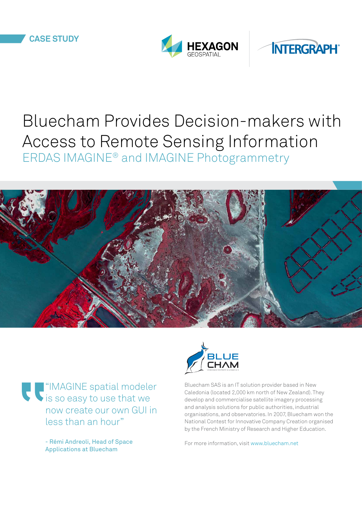



# Bluecham Provides Decision-makers with Access to Remote Sensing Information ERDAS IMAGINE® and IMAGINE Photogrammetry



"IMAGINE spatial modeler is so easy to use that we now create our own GUI in less than an hour"

> - Rémi Andreoli, Head of Space Applications at Bluecham



Bluecham SAS is an IT solution provider based in New Caledonia (located 2,000 km north of New Zealand). They develop and commercialise satellite imagery processing and analysis solutions for public authorities, industrial organisations, and observatories. In 2007, Bluecham won the National Contest for Innovative Company Creation organised by the French Ministry of Research and Higher Education.

For more information, visit<www.bluecham.net>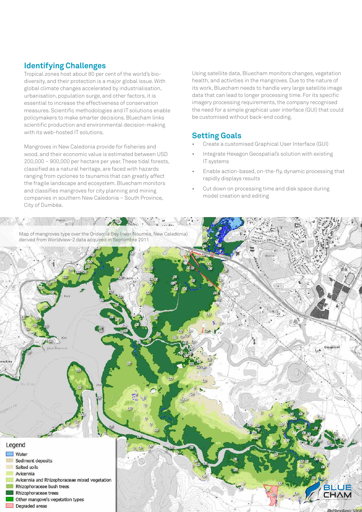### **Identifying Challenges**

Tropical zones host about 80 per cent of the world's biodiversity, and their protection is a major global issue. With global climate changes accelerated by industrialisation, urbanisation, population surge, and other factors, it is essential to increase the effectiveness of conservation measures. Scientific methodologies and IT solutions enable policymakers to make smarter decisions. Bluecham links scientific production and environmental decision-making with its web-hosted IT solutions.

Mangroves in New Caledonia provide for fisheries and wood, and their economic value is estimated between USD 200,000 – 900,000 per hectare per year. These tidal forests, classified as a natural heritage, are faced with hazards ranging from cyclones to tsunamis that can greatly affect the fragile landscape and ecosystem. Bluecham monitors and classifies mangroves for city planning and mining companies in southern New Caledonia – South Province, City of Dumbéa.

Using satellite data, Bluecham monitors changes, vegetation health, and activities in the mangroves. Due to the nature of its work, Bluecham needs to handle very large satellite image data that can lead to longer processing time. For its specific imagery processing requirements, the company recognised the need for a simple graphical user interface (GUI) that could be customised without back-end coding.

## **Setting Goals**

- Create a customised Graphical User Interface (GUI)
- Integrate Hexagon Geospatial's solution with existing IT systems
- Enable action-based, on-the-fly, dynamic processing that rapidly displays results
- Cut down on processing time and disk space during model creation and editing

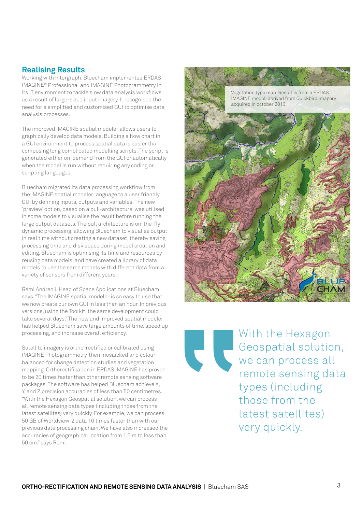#### **Realising Results**

Working with Intergraph, Bluecham implemented ERDAS IMAGINE® Professional and IMAGINE Photogrammetry in its IT environment to tackle slow data analysis workflows as a result of large-sized input imagery. It recognised the need for a simplified and customised GUI to optimise data analysis processes.

The improved IMAGINE spatial modeler allows users to graphically develop data models. Building a flow chart in a GUI environment to process spatial data is easier than composing long complicated modelling scripts. The script is generated either on-demand from the GUI or automatically when the model is run without requiring any coding or scripting languages.

Bluecham migrated its data processing workflow from the IMAGINE spatial modeler language to a user friendly GUI by defining inputs, outputs and variables. The new 'preview' option, based on a pull-architecture, was utilised in some models to visualise the result before running the large output datasets. The pull architecture is on-the-fly dynamic processing, allowing Bluecham to visualise output in real time without creating a new dataset, thereby saving processing time and disk space during model creation and editing. Bluecham is optimising its time and resources by reusing data models, and have created a library of data models to use the same models with different data from a variety of sensors from different years.

Rémi Andreoli, Head of Space Applications at Bluecham says, "The IMAGINE spatial modeler is so easy to use that we now create our own GUI in less than an hour. In previous versions, using the Toolkit, the same development could take several days." The new and improved spatial modeler has helped Bluecham save large amounts of time, speed up processing, and increase overall efficiency.

Satellite imagery is ortho-rectified or calibrated using IMAGINE Photogrammetry, then mosaicked and colourbalanced for change detection studies and vegetation mapping. Orthorectification in ERDAS IMAGINE has proven to be 20 times faster than other remote sensing software packages. The software has helped Bluecham achieve X, Y, and Z precision accuracies of less than 50 centimetres. "With the Hexagon Geospatial solution, we can process all remote sensing data types (including those from the latest satellites) very quickly. For example, we can process 50 GB of Worldview-2 data 10 times faster than with our previous data processing chain. We have also increased the accuracies of geographical location from 1.5 m to less than 50 cm." says Remi.

Vegetation type map Result is from a ERDAS IMAGINE model. derived from Quickbird imagery acquired in october 2013



With the Hexagon Geospatial solution, we can process all remote sensing data types (including those from the latest satellites) very quickly.